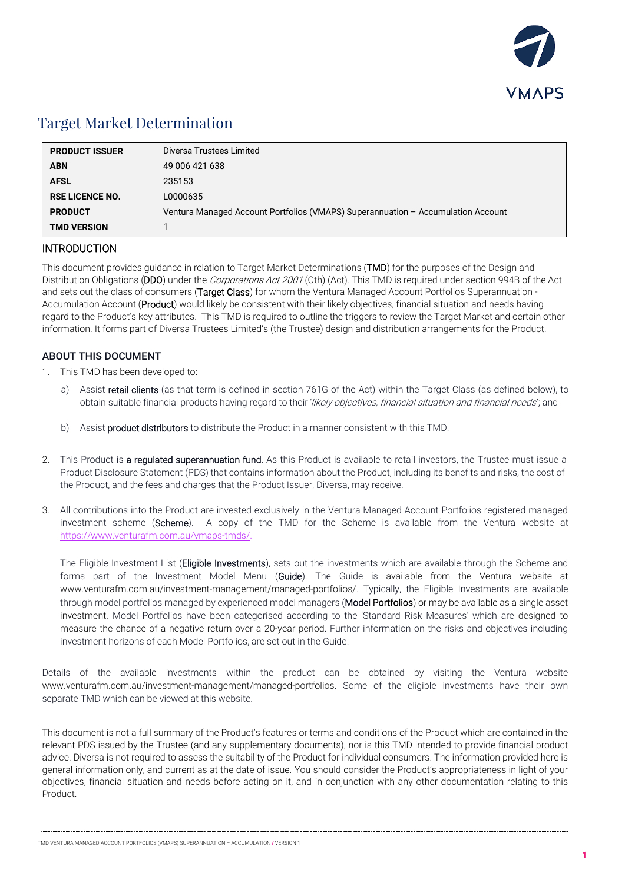

## Target Market Determination

| <b>PRODUCT ISSUER</b>  | Diversa Trustees Limited                                                         |
|------------------------|----------------------------------------------------------------------------------|
| <b>ABN</b>             | 49 006 421 638                                                                   |
| <b>AFSL</b>            | 235153                                                                           |
| <b>RSE LICENCE NO.</b> | L0000635                                                                         |
| <b>PRODUCT</b>         | Ventura Managed Account Portfolios (VMAPS) Superannuation - Accumulation Account |
| <b>TMD VERSION</b>     |                                                                                  |

## INTRODUCTION

This document provides guidance in relation to Target Market Determinations (TMD) for the purposes of the Design and Distribution Obligations (DDO) under the Corporations Act 2001 (Cth) (Act). This TMD is required under section 994B of the Act and sets out the class of consumers (Target Class) for whom the Ventura Managed Account Portfolios Superannuation -Accumulation Account (Product) would likely be consistent with their likely objectives, financial situation and needs having regard to the Product's key attributes. This TMD is required to outline the triggers to review the Target Market and certain other information. It forms part of Diversa Trustees Limited's (the Trustee) design and distribution arrangements for the Product.

## ABOUT THIS DOCUMENT

- 1. This TMD has been developed to:
	- a) Assist retail clients (as that term is defined in section 761G of the Act) within the Target Class (as defined below), to obtain suitable financial products having regard to their 'likely objectives, financial situation and financial needs'; and
	- b) Assist **product distributors** to distribute the Product in a manner consistent with this TMD.
- 2. This Product is a regulated superannuation fund. As this Product is available to retail investors, the Trustee must issue a Product Disclosure Statement (PDS) that contains information about the Product, including its benefits and risks, the cost of the Product, and the fees and charges that the Product Issuer, Diversa, may receive.
- 3. All contributions into the Product are invested exclusively in the Ventura Managed Account Portfolios registered managed investment scheme (Scheme). A copy of the TMD for the Scheme is available from the Ventura website at [https://www.venturafm.com.au/vmaps-tmd](http://www.venturafm.com.au/investor-resources)[s/](https://venturafm.com.au/vmaps-tmds/).

The Eligible Investment List (Eligible Investments), sets out the investments which are available through the Scheme and forms part of the Investment Model Menu (Guide). The Guide is available from the Ventura website at www.venturafm.com.au/investment-management/managed-portfolios/. Typically, the Eligible Investments are available through model portfolios managed by experienced model managers (Model Portfolios) or may be available as a single asset investment. Model Portfolios have been categorised according to the 'Standard Risk Measures' which are designed to measure the chance of a negative return over a 20-year period. Further information on the risks and objectives including investment horizons of each Model Portfolios, are set out in the Guide.

Details of the available investments within the product can be obtained by visiting the Ventura website www.venturafm.com.au/investment-management/managed-portfolios. Some of the eligible investments have their own separate TMD which can be viewed at this website.

This document is not a full summary of the Product's features or terms and conditions of the Product which are contained in the relevant PDS issued by the Trustee (and any supplementary documents), nor is this TMD intended to provide financial product advice. Diversa is not required to assess the suitability of the Product for individual consumers. The information provided here is general information only, and current as at the date of issue. You should consider the Product's appropriateness in light of your objectives, financial situation and needs before acting on it, and in conjunction with any other documentation relating to this Product.

TMD VENTURA MANAGED ACCOUNT PORTFOLIOS (VMAPS) SUPERANNUATION – ACCUMULATION / VERSION 1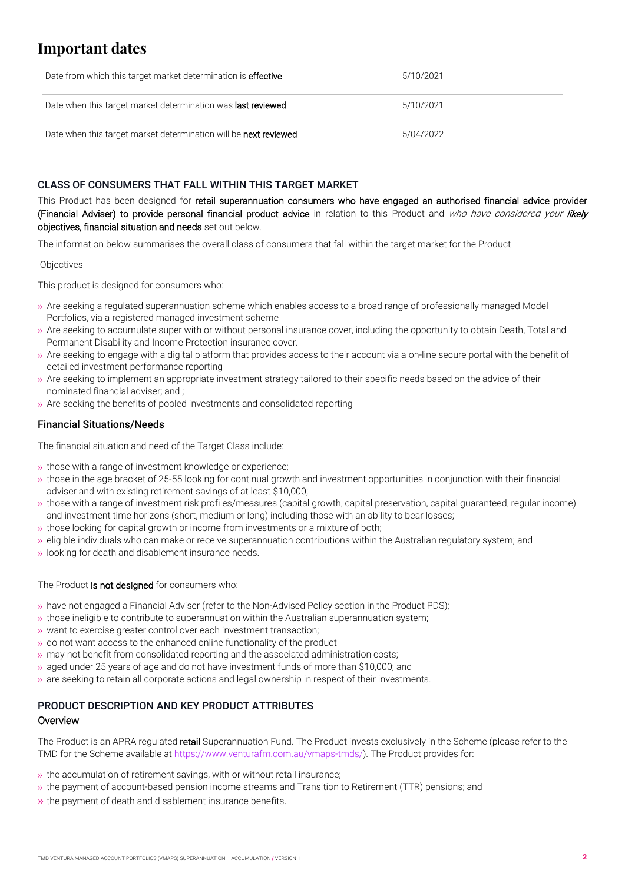# **Important dates**

| Date from which this target market determination is <b>effective</b> | 5/10/2021 |
|----------------------------------------------------------------------|-----------|
| Date when this target market determination was <b>last reviewed</b>  | 5/10/2021 |
| Date when this target market determination will be next reviewed     | 5/04/2022 |

## CLASS OF CONSUMERS THAT FALL WITHIN THIS TARGET MARKET

This Product has been designed for retail superannuation consumers who have engaged an authorised financial advice provider (Financial Adviser) to provide personal financial product advice in relation to this Product and who have considered your likely objectives, financial situation and needs set out below.

The information below summarises the overall class of consumers that fall within the target market for the Product

#### **Objectives**

This product is designed for consumers who:

- » Are seeking a regulated superannuation scheme which enables access to a broad range of professionally managed Model Portfolios, via a registered managed investment scheme
- » Are seeking to accumulate super with or without personal insurance cover, including the opportunity to obtain Death, Total and Permanent Disability and Income Protection insurance cover.
- » Are seeking to engage with a digital platform that provides access to their account via a on-line secure portal with the benefit of detailed investment performance reporting
- » Are seeking to implement an appropriate investment strategy tailored to their specific needs based on the advice of their nominated financial adviser; and ;
- » Are seeking the benefits of pooled investments and consolidated reporting

## Financial Situations/Needs

The financial situation and need of the Target Class include:

» those with a range of investment knowledge or experience;

- » those in the age bracket of 25-55 looking for continual growth and investment opportunities in conjunction with their financial adviser and with existing retirement savings of at least \$10,000;
- » those with a range of investment risk profiles/measures (capital growth, capital preservation, capital guaranteed, regular income) and investment time horizons (short, medium or long) including those with an ability to bear losses;
- » those looking for capital growth or income from investments or a mixture of both;
- » eligible individuals who can make or receive superannuation contributions within the Australian regulatory system; and
- » looking for death and disablement insurance needs.

#### The Product is not designed for consumers who:

- » have not engaged a Financial Adviser (refer to the Non-Advised Policy section in the Product PDS);
- » those ineligible to contribute to superannuation within the Australian superannuation system;
- » want to exercise greater control over each investment transaction;
- » do not want access to the enhanced online functionality of the product
- » may not benefit from consolidated reporting and the associated administration costs;
- » aged under 25 years of age and do not have investment funds of more than \$10,000; and
- » are seeking to retain all corporate actions and legal ownership in respect of their investments.

## PRODUCT DESCRIPTION AND KEY PRODUCT ATTRIBUTES **Overview**

The Product is an APRA regulated retail Superannuation Fund. The Product invests exclusively in the Scheme (please refer to the TMD for the Scheme available at [https://www.venturafm.com.au/vmap](http://www.venturafm.com.au/investor-resources)[s-tmds/\)](https://venturafm.com.au/vmaps-tmds/). The Product provides for:

- » the accumulation of retirement savings, with or without retail insurance;
- » the payment of account-based pension income streams and Transition to Retirement (TTR) pensions; and
- » the payment of death and disablement insurance benefits.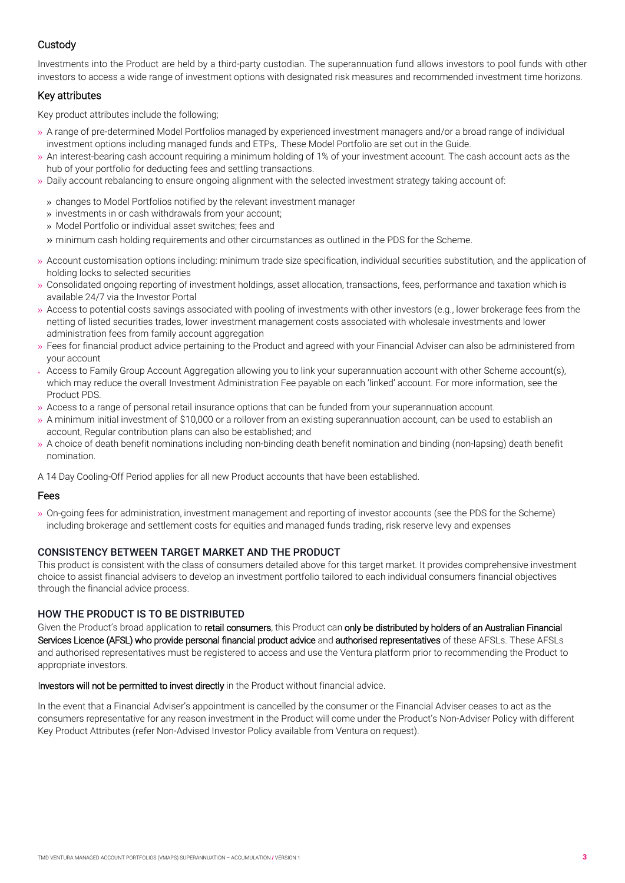## **Custody**

Investments into the Product are held by a third-party custodian. The superannuation fund allows investors to pool funds with other investors to access a wide range of investment options with designated risk measures and recommended investment time horizons.

## Key attributes

Key product attributes include the following;

- » A range of pre-determined Model Portfolios managed by experienced investment managers and/or a broad range of individual investment options including managed funds and ETPs,. These Model Portfolio are set out in the Guide.
- » An interest-bearing cash account requiring a minimum holding of 1% of your investment account. The cash account acts as the hub of your portfolio for deducting fees and settling transactions.
- » Daily account rebalancing to ensure ongoing alignment with the selected investment strategy taking account of:
- » changes to Model Portfolios notified by the relevant investment manager
- » investments in or cash withdrawals from your account;
- » Model Portfolio or individual asset switches; fees and

» minimum cash holding requirements and other circumstances as outlined in the PDS for the Scheme.

- » Account customisation options including: minimum trade size specification, individual securities substitution, and the application of holding locks to selected securities
- » Consolidated ongoing reporting of investment holdings, asset allocation, transactions, fees, performance and taxation which is available 24/7 via the Investor Portal
- » Access to potential costs savings associated with pooling of investments with other investors (e.g., lower brokerage fees from the netting of listed securities trades, lower investment management costs associated with wholesale investments and lower administration fees from family account aggregation
- » Fees for financial product advice pertaining to the Product and agreed with your Financial Adviser can also be administered from your account
- » Access to Family Group Account Aggregation allowing you to link your superannuation account with other Scheme account(s), which may reduce the overall Investment Administration Fee payable on each 'linked' account. For more information, see the Product PDS.
- » Access to a range of personal retail insurance options that can be funded from your superannuation account.
- » A minimum initial investment of \$10,000 or a rollover from an existing superannuation account, can be used to establish an account, Regular contribution plans can also be established; and
- » A choice of death benefit nominations including non-binding death benefit nomination and binding (non-lapsing) death benefit nomination.

A 14 Day Cooling-Off Period applies for all new Product accounts that have been established.

#### Fees

» On-going fees for administration, investment management and reporting of investor accounts (see the PDS for the Scheme) including brokerage and settlement costs for equities and managed funds trading, risk reserve levy and expenses

## CONSISTENCY BETWEEN TARGET MARKET AND THE PRODUCT

This product is consistent with the class of consumers detailed above for this target market. It provides comprehensive investment choice to assist financial advisers to develop an investment portfolio tailored to each individual consumers financial objectives through the financial advice process.

#### HOW THE PRODUCT IS TO BE DISTRIBUTED

Given the Product's broad application to retail consumers, this Product can only be distributed by holders of an Australian Financial Services Licence (AFSL) who provide personal financial product advice and authorised representatives of these AFSLs. These AFSLs and authorised representatives must be registered to access and use the Ventura platform prior to recommending the Product to appropriate investors.

Investors will not be permitted to invest directly in the Product without financial advice.

In the event that a Financial Adviser's appointment is cancelled by the consumer or the Financial Adviser ceases to act as the consumers representative for any reason investment in the Product will come under the Product's Non-Adviser Policy with different Key Product Attributes (refer Non-Advised Investor Policy available from Ventura on request).